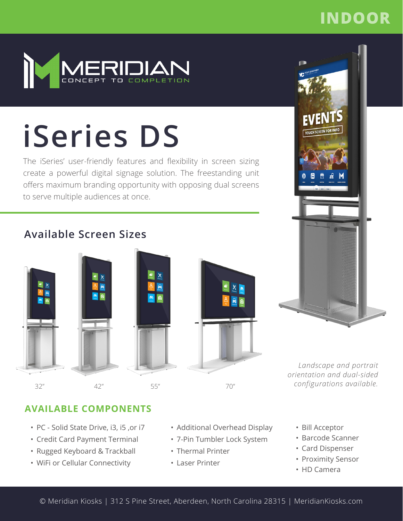## **INDOOR**



# **iSeries DS**

The iSeries' user-friendly features and flexibility in screen sizing create a powerful digital signage solution. The freestanding unit offers maximum branding opportunity with opposing dual screens to serve multiple audiences at once.

## **Available Screen Sizes**





*Landscape and portrait orientation and dual-sided configurations available.*

## **AVAILABLE COMPONENTS**

- PC Solid State Drive, i3, i5 ,or i7
- Credit Card Payment Terminal
- Rugged Keyboard & Trackball
- WiFi or Cellular Connectivity
- Additional Overhead Display
- 7-Pin Tumbler Lock System
- Thermal Printer
- Laser Printer
- Bill Acceptor
- Barcode Scanner
- Card Dispenser
- Proximity Sensor
- HD Camera